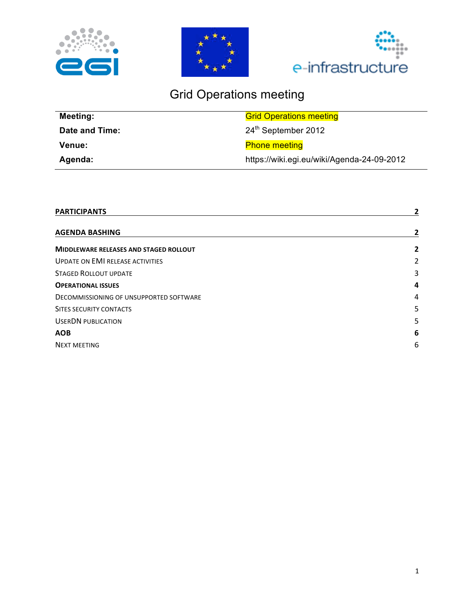





# Grid Operations meeting

| <b>Meeting:</b> | <b>Grid Operations meeting</b>             |
|-----------------|--------------------------------------------|
| Date and Time:  | 24 <sup>th</sup> September 2012            |
| <b>Venue:</b>   | <b>Phone meeting</b>                       |
| Agenda:         | https://wiki.egi.eu/wiki/Agenda-24-09-2012 |

| <b>PARTICIPANTS</b>                           | 2 |
|-----------------------------------------------|---|
| <b>AGENDA BASHING</b>                         | 2 |
| <b>MIDDLEWARE RELEASES AND STAGED ROLLOUT</b> | 2 |
| <b>UPDATE ON EMI RELEASE ACTIVITIES</b>       | 2 |
| <b>STAGED ROLLOUT UPDATE</b>                  | 3 |
| <b>OPERATIONAL ISSUES</b>                     | 4 |
| DECOMMISSIONING OF UNSUPPORTED SOFTWARE       | 4 |
| <b>SITES SECURITY CONTACTS</b>                | 5 |
| <b>USERDN PUBLICATION</b>                     | 5 |
| <b>AOB</b>                                    | 6 |
| <b>NEXT MEETING</b>                           | 6 |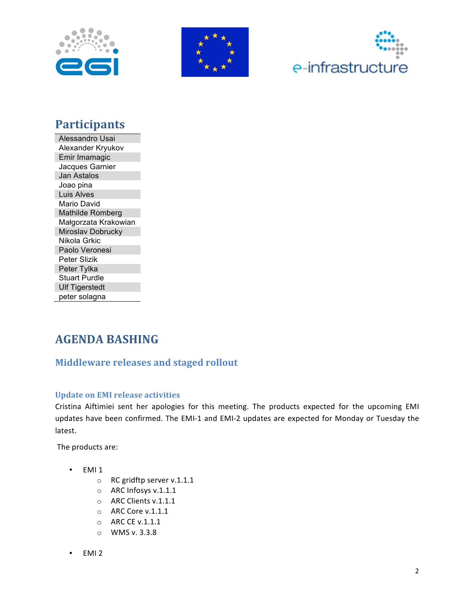





# **Participants**

Alessandro Usai Alexander Kryukov Emir Imamagic Jacques Garnier Jan Astalos Joao pina Luis Alves Mario David Mathilde Romberg Małgorzata Krakowian Miroslav Dobrucky Nikola Grkic Paolo Veronesi Peter Slizik Peter Tylka **Stuart Purdle Ulf Tigerstedt** peter solagna

# **AGENDA BASHING**

# **Middleware releases and staged rollout**

### **Update on EMI release activities**

Cristina Aiftimiei sent her apologies for this meeting. The products expected for the upcoming EMI updates have been confirmed. The EMI-1 and EMI-2 updates are expected for Monday or Tuesday the latest.

The products are:

- EMI<sub>1</sub>
	- $\circ$  RC gridftp server v.1.1.1
	- $\circ$  ARC Infosys v.1.1.1
	- O ARC Clients v.1.1.1
	- $\circ$  ARC Core v.1.1.1
	- o ARC CE v.1.1.1
	- $\circ$  WMS v. 3.3.8
- EMI<sub>2</sub>  $\bullet$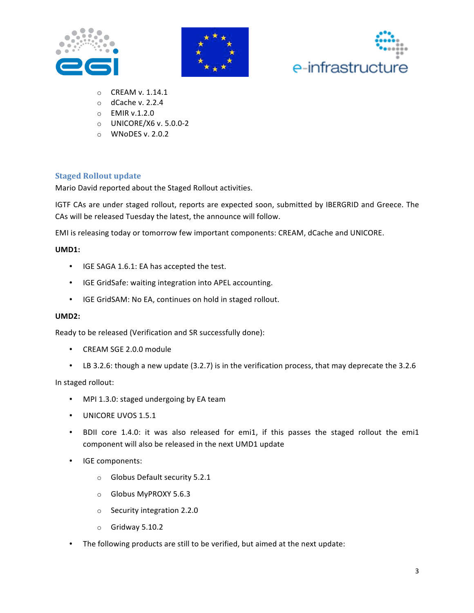





- $\circ$  CREAM v. 1.14.1
- $\circ$  dCache v. 2.2.4
- $O$  EMIR v.1.2.0
- $\circ$  UNICORE/X6 v. 5.0.0-2
- $\circ$  WNoDES v. 2.0.2

#### **Staged Rollout update**

Mario David reported about the Staged Rollout activities.

IGTF CAs are under staged rollout, reports are expected soon, submitted by IBERGRID and Greece. The CAs will be released Tuesday the latest, the announce will follow.

EMI is releasing today or tomorrow few important components: CREAM, dCache and UNICORE.

#### **UMD1:**

- IGE SAGA 1.6.1: EA has accepted the test.
- IGE GridSafe: waiting integration into APEL accounting.
- IGE GridSAM: No EA, continues on hold in staged rollout.

#### **UMD2:**

Ready to be released (Verification and SR successfully done):

- CREAM SGE 2.0.0 module
- LB 3.2.6: though a new update (3.2.7) is in the verification process, that may deprecate the 3.2.6

In staged rollout:

- MPI 1.3.0: staged undergoing by EA team
- UNICORE UVOS 1.5.1
- BDII core 1.4.0: it was also released for emi1, if this passes the staged rollout the emi1 component will also be released in the next UMD1 update
- IGE components:
	- $\circ$  Globus Default security 5.2.1
	- o Globus MyPROXY 5.6.3
	- $\circ$  Security integration 2.2.0
	- $\circ$  Gridway 5.10.2
- The following products are still to be verified, but aimed at the next update: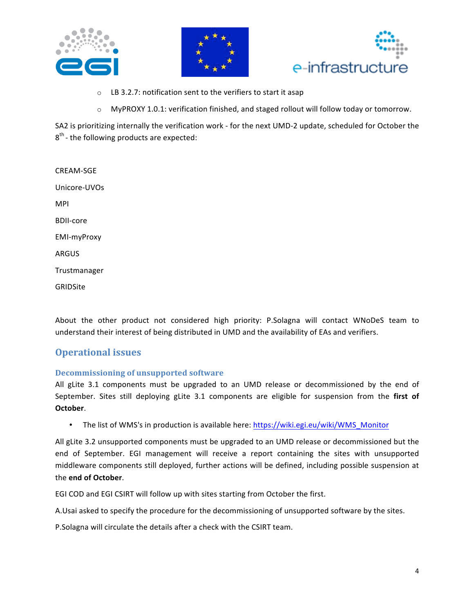





- $\circ$  LB 3.2.7: notification sent to the verifiers to start it asap
- $\circ$  MyPROXY 1.0.1: verification finished, and staged rollout will follow today or tomorrow.

SA2 is prioritizing internally the verification work - for the next UMD-2 update, scheduled for October the  $8<sup>th</sup>$  - the following products are expected:

CREAM-SGE Unicore-UVOs MPI **BDII-core** EMI-myProxy ARGUS Trustmanager **GRIDSite** 

About the other product not considered high priority: P.Solagna will contact WNoDeS team to understand their interest of being distributed in UMD and the availability of EAs and verifiers.

### **Operational issues**

#### **Decommissioning of unsupported software**

All gLite 3.1 components must be upgraded to an UMD release or decommissioned by the end of September. Sites still deploying gLite 3.1 components are eligible for suspension from the first of **October.** 

• The list of WMS's in production is available here: https://wiki.egi.eu/wiki/WMS\_Monitor

All gLite 3.2 unsupported components must be upgraded to an UMD release or decommissioned but the end of September. EGI management will receive a report containing the sites with unsupported middleware components still deployed, further actions will be defined, including possible suspension at the!**end of)October**.!

EGI COD and EGI CSIRT will follow up with sites starting from October the first.

A.Usai asked to specify the procedure for the decommissioning of unsupported software by the sites.

P. Solagna will circulate the details after a check with the CSIRT team.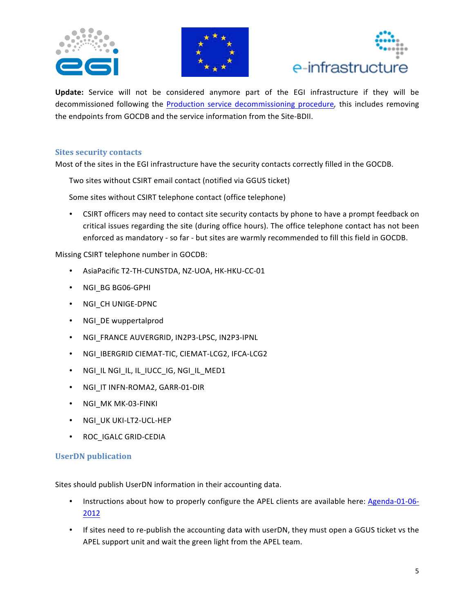





Update: Service will not be considered anymore part of the EGI infrastructure if they will be decommissioned following the Production service decommissioning procedure, this includes removing the endpoints from GOCDB and the service information from the Site-BDII.

#### **Sites security contacts**

Most of the sites in the EGI infrastructure have the security contacts correctly filled in the GOCDB.

Two sites without CSIRT email contact (notified via GGUS ticket)

Some sites without CSIRT telephone contact (office telephone)

• CSIRT officers may need to contact site security contacts by phone to have a prompt feedback on critical issues regarding the site (during office hours). The office telephone contact has not been enforced as mandatory - so far - but sites are warmly recommended to fill this field in GOCDB.

Missing CSIRT telephone number in GOCDB:

- AsiaPacific T2-TH-CUNSTDA, NZ-UOA, HK-HKU-CC-01
- NGI BG BG06-GPHI
- NGI\_CH UNIGE-DPNC
- NGI\_DE wuppertalprod
- NGI\_FRANCE AUVERGRID, IN2P3-LPSC, IN2P3-IPNL
- NGI\_IBERGRID CIEMAT-TIC, CIEMAT-LCG2, IFCA-LCG2
- NGI\_IL NGI\_IL, IL\_IUCC\_IG, NGI\_IL\_MED1
- NGI\_IT INFN-ROMA2, GARR-01-DIR
- NGI\_MK MK-03-FINKI
- NGI\_UK UKI-LT2-UCL-HEP
- ROC\_IGALC GRID-CEDIA

#### **UserDN** publication

Sites should publish UserDN information in their accounting data.

- Instructions about how to properly configure the APEL clients are available here: Agenda-01-06-2012
- If sites need to re-publish the accounting data with userDN, they must open a GGUS ticket vs the APEL support unit and wait the green light from the APEL team.